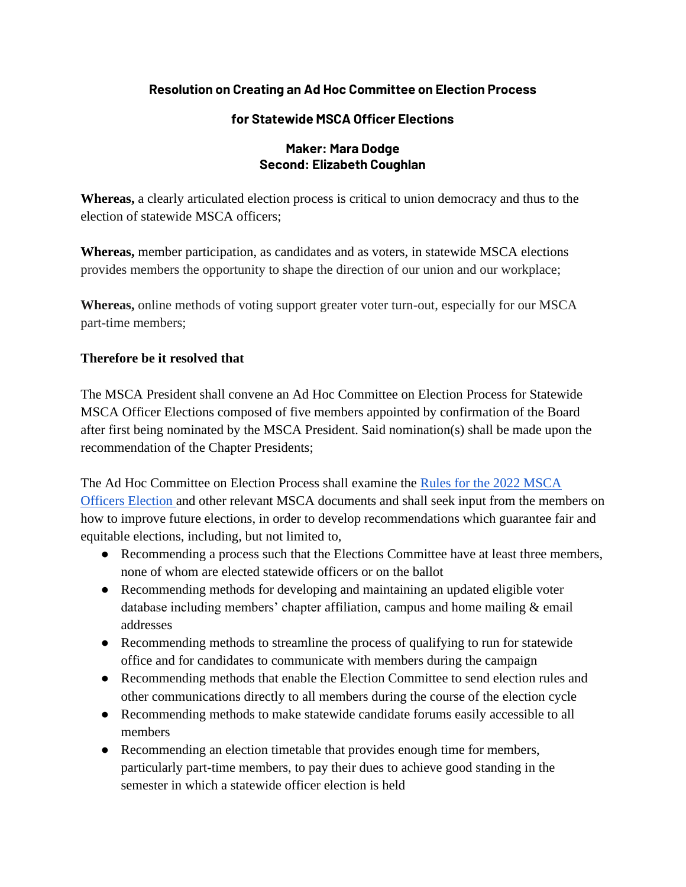## **Resolution on Creating an Ad Hoc Committee on Election Process**

## **for Statewide MSCA Officer Elections**

## **Maker: Mara Dodge Second: Elizabeth Coughlan**

**Whereas,** a clearly articulated election process is critical to union democracy and thus to the election of statewide MSCA officers;

**Whereas,** member participation, as candidates and as voters, in statewide MSCA elections provides members the opportunity to shape the direction of our union and our workplace;

**Whereas,** online methods of voting support greater voter turn-out, especially for our MSCA part-time members;

## **Therefore be it resolved that**

The MSCA President shall convene an Ad Hoc Committee on Election Process for Statewide MSCA Officer Elections composed of five members appointed by confirmation of the Board after first being nominated by the MSCA President. Said nomination(s) shall be made upon the recommendation of the Chapter Presidents;

The Ad Hoc Committee on Election Process shall examine the [Rules for the 2022 MSCA](https://mscaunion.org/wp-content/uploads/2021/08/2022-Officers-Election__Rules__Approved_June-4-2021.pdf)  [Officers Election a](https://mscaunion.org/wp-content/uploads/2021/08/2022-Officers-Election__Rules__Approved_June-4-2021.pdf)nd other relevant MSCA documents and shall seek input from the members on how to improve future elections, in order to develop recommendations which guarantee fair and equitable elections, including, but not limited to,

- Recommending a process such that the Elections Committee have at least three members, none of whom are elected statewide officers or on the ballot
- Recommending methods for developing and maintaining an updated eligible voter database including members' chapter affiliation, campus and home mailing & email addresses
- Recommending methods to streamline the process of qualifying to run for statewide office and for candidates to communicate with members during the campaign
- Recommending methods that enable the Election Committee to send election rules and other communications directly to all members during the course of the election cycle
- Recommending methods to make statewide candidate forums easily accessible to all members
- Recommending an election timetable that provides enough time for members, particularly part-time members, to pay their dues to achieve good standing in the semester in which a statewide officer election is held